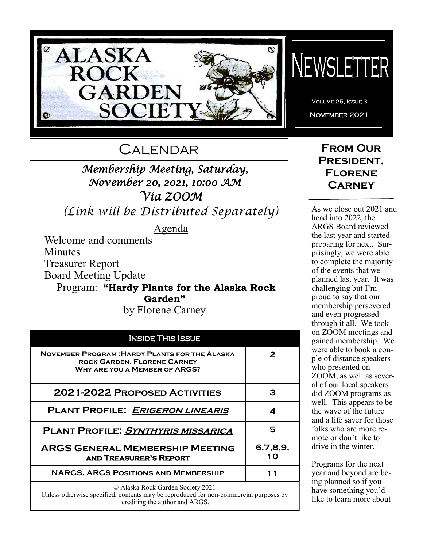

# **CALENDAR**

# *Membership Meeting, Saturday, November 20, 2021, 10:00 AM Via ZOOM*

*(Link will be Distributed Separately)*

Agenda

Welcome and comments Minutes Treasurer Report Board Meeting Update Program: **"Hardy Plants for the Alaska Rock** 

**Garden"**

by Florene Carney

| <b>INSIDE THIS ISSUE</b>                                                                                                           |                |  |
|------------------------------------------------------------------------------------------------------------------------------------|----------------|--|
| <b>NOVEMBER PROGRAM: HARDY PLANTS FOR THE ALASKA</b><br><b>ROCK GARDEN, FLORENE CARNEY</b><br><b>WHY ARE YOU A MEMBER OF ARGS?</b> | 2              |  |
| <b>2021-2022 PROPOSED ACTIVITIES</b>                                                                                               | з              |  |
| <b>PLANT PROFILE: ERIGERON LINEARIS</b>                                                                                            | 4              |  |
| <b>PLANT PROFILE: SYNTHYRIS MISSARICA</b>                                                                                          | 5              |  |
| <b>ARGS GENERAL MEMBERSHIP MEETING</b><br><b>AND TREASURER'S REPORT</b>                                                            | 6,7,8,9,<br>10 |  |
| NARGS, ARGS POSITIONS AND MEMBERSHIP                                                                                               |                |  |
| © Alaska Rock Garden Society 2021<br>Unless otherwise specified, contents may be reproduced for non-commercial purposes by         |                |  |

crediting the author and ARGS.

# NEWSLETTER

Volume 25, Issue 3 November 2021

# **From Our President, Florene Carney**

As we close out 2021 and head into 2022, the ARGS Board reviewed the last year and started preparing for next. Surprisingly, we were able to complete the majority of the events that we planned last year. It was challenging but I'm proud to say that our membership persevered and even progressed through it all. We took on ZOOM meetings and gained membership. We were able to book a couple of distance speakers who presented on ZOOM, as well as several of our local speakers did ZOOM programs as well. This appears to be the wave of the future and a life saver for those folks who are more remote or don't like to drive in the winter.

Programs for the next year and beyond are being planned so if you have something you'd like to learn more about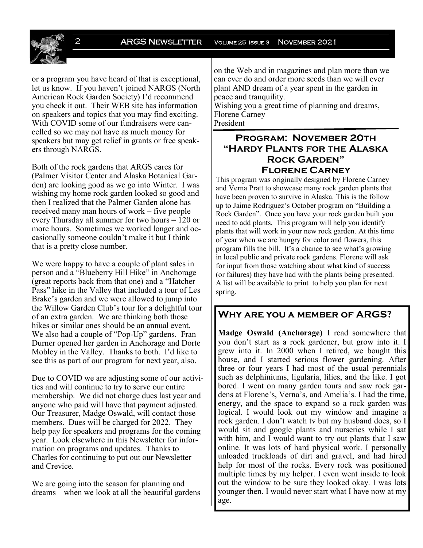2 **ARGS NEWSLETTER** VOLUME 25 ISSUE 3 NOVEMBER 2021

or a program you have heard of that is exceptional, let us know. If you haven't joined NARGS (North American Rock Garden Society) I'd recommend you check it out. Their WEB site has information on speakers and topics that you may find exciting. With COVID some of our fundraisers were cancelled so we may not have as much money for speakers but may get relief in grants or free speakers through NARGS.

Both of the rock gardens that ARGS cares for (Palmer Visitor Center and Alaska Botanical Garden) are looking good as we go into Winter. I was wishing my home rock garden looked so good and then I realized that the Palmer Garden alone has received many man hours of work – five people every Thursday all summer for two hours = 120 or more hours. Sometimes we worked longer and occasionally someone couldn't make it but I think that is a pretty close number.

We were happy to have a couple of plant sales in person and a "Blueberry Hill Hike" in Anchorage (great reports back from that one) and a "Hatcher Pass" hike in the Valley that included a tour of Les Brake's garden and we were allowed to jump into the Willow Garden Club's tour for a delightful tour of an extra garden. We are thinking both those hikes or similar ones should be an annual event. We also had a couple of "Pop-Up" gardens. Fran Durner opened her garden in Anchorage and Dorte Mobley in the Valley. Thanks to both. I'd like to see this as part of our program for next year, also.

Due to COVID we are adjusting some of our activities and will continue to try to serve our entire membership. We did not charge dues last year and anyone who paid will have that payment adjusted. Our Treasurer, Madge Oswald, will contact those members. Dues will be charged for 2022. They help pay for speakers and programs for the coming year. Look elsewhere in this Newsletter for information on programs and updates. Thanks to Charles for continuing to put out our Newsletter and Crevice.

We are going into the season for planning and dreams – when we look at all the beautiful gardens on the Web and in magazines and plan more than we can ever do and order more seeds than we will ever plant AND dream of a year spent in the garden in peace and tranquility.

Wishing you a great time of planning and dreams, Florene Carney President

#### **Program: November 20th "Hardy Plants for the Alaska Rock Garden" Florene Carney**

This program was originally designed by Florene Carney and Verna Pratt to showcase many rock garden plants that have been proven to survive in Alaska. This is the follow up to Jaime Rodriguez's October program on "Building a Rock Garden". Once you have your rock garden built you need to add plants. This program will help you identify plants that will work in your new rock garden. At this time of year when we are hungry for color and flowers, this program fills the bill. It's a chance to see what's growing in local public and private rock gardens. Florene will ask for input from those watching about what kind of success (or failures) they have had with the plants being presented. A list will be available to print to help you plan for next spring.

#### **Why are you a member of ARGS?**

**Madge Oswald (Anchorage)** I read somewhere that you don't start as a rock gardener, but grow into it. I grew into it. In 2000 when I retired, we bought this house, and I started serious flower gardening. After three or four years I had most of the usual perennials such as delphiniums, ligularia, lilies, and the like. I got bored. I went on many garden tours and saw rock gardens at Florene's, Verna's, and Amelia's. I had the time, energy, and the space to expand so a rock garden was logical. I would look out my window and imagine a rock garden. I don't watch tv but my husband does, so I would sit and google plants and nurseries while I sat with him, and I would want to try out plants that I saw online. It was lots of hard physical work. I personally unloaded truckloads of dirt and gravel, and had hired help for most of the rocks. Every rock was positioned multiple times by my helper. I even went inside to look out the window to be sure they looked okay. I was lots younger then. I would never start what I have now at my age.

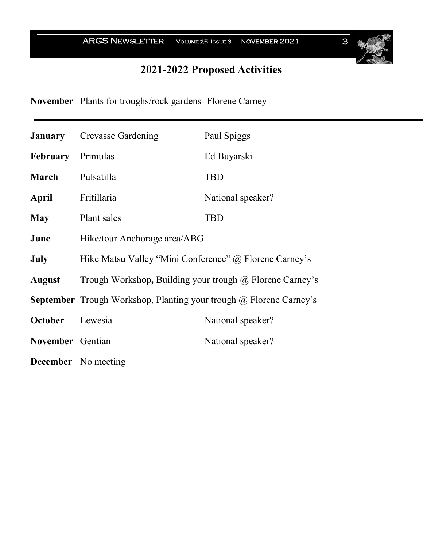ARGS NEWSLETTER VOLUME 25 ISSUE 3 NOVEMBER 2021 3

# **2021-2022 Proposed Activities**

**November** Plants for troughs/rock gardens Florene Carney

|                          | <b>January</b> Crevasse Gardening                                                | Paul Spiggs       |  |
|--------------------------|----------------------------------------------------------------------------------|-------------------|--|
| <b>February</b> Primulas |                                                                                  | Ed Buyarski       |  |
| <b>March</b>             | Pulsatilla                                                                       | <b>TBD</b>        |  |
| April                    | Fritillaria                                                                      | National speaker? |  |
| <b>May</b>               | Plant sales                                                                      | <b>TBD</b>        |  |
| June                     | Hike/tour Anchorage area/ABG                                                     |                   |  |
| <b>July</b>              | Hike Matsu Valley "Mini Conference" @ Florene Carney's                           |                   |  |
| August                   | Trough Workshop, Building your trough @ Florene Carney's                         |                   |  |
|                          | <b>September</b> Trough Workshop, Planting your trough $\omega$ Florene Carney's |                   |  |
| October Lewesia          |                                                                                  | National speaker? |  |
| November Gentian         |                                                                                  | National speaker? |  |
|                          | <b>December</b> No meeting                                                       |                   |  |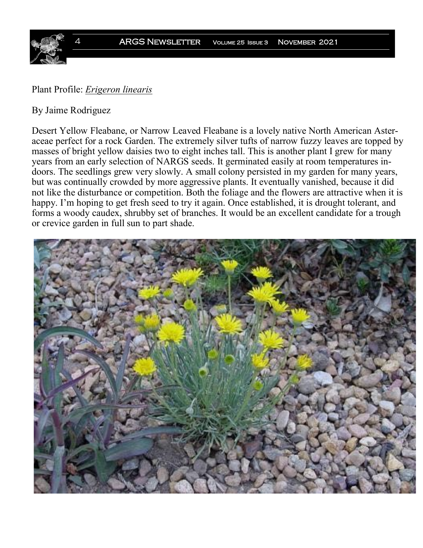

### Plant Profile: *Erigeron linearis*

#### By Jaime Rodriguez

Desert Yellow Fleabane, or Narrow Leaved Fleabane is a lovely native North American Asteraceae perfect for a rock Garden. The extremely silver tufts of narrow fuzzy leaves are topped by masses of bright yellow daisies two to eight inches tall. This is another plant I grew for many years from an early selection of NARGS seeds. It germinated easily at room temperatures indoors. The seedlings grew very slowly. A small colony persisted in my garden for many years, but was continually crowded by more aggressive plants. It eventually vanished, because it did not like the disturbance or competition. Both the foliage and the flowers are attractive when it is happy. I'm hoping to get fresh seed to try it again. Once established, it is drought tolerant, and forms a woody caudex, shrubby set of branches. It would be an excellent candidate for a trough or crevice garden in full sun to part shade.

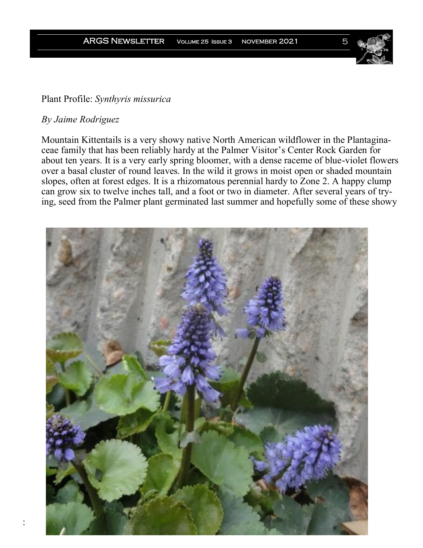# Plant Profile: *Synthyris missurica*

#### *By Jaime Rodriguez*

:

Mountain Kittentails is a very showy native North American wildflower in the Plantaginaceae family that has been reliably hardy at the Palmer Visitor's Center Rock Garden for about ten years. It is a very early spring bloomer, with a dense raceme of blue-violet flowers over a basal cluster of round leaves. In the wild it grows in moist open or shaded mountain slopes, often at forest edges. It is a rhizomatous perennial hardy to Zone 2. A happy clump can grow six to twelve inches tall, and a foot or two in diameter. After several years of trying, seed from the Palmer plant germinated last summer and hopefully some of these showy

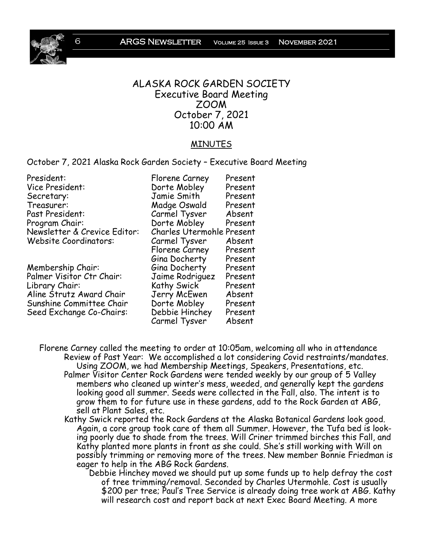6 ARGS Newsletter Volume 25 Issue 3 November 2021



#### ALASKA ROCK GARDEN SOCIETY Executive Board Meeting ZOOM October 7, 2021 10:00 AM

#### MINUTES

October 7, 2021 Alaska Rock Garden Society – Executive Board Meeting

| President:                       | Florene Carney                   | Present |
|----------------------------------|----------------------------------|---------|
| Vice President:                  | Dorte Mobley                     | Present |
| Secretary:                       | Jamie Smith                      | Present |
| Treasurer:                       | Madge Oswald                     | Present |
| Past President:                  | Carmel Tysver                    | Absent  |
| Program Chair:                   | Dorte Mobley                     | Present |
| Newsletter & Crevice Editor:     | <b>Charles Utermohle Present</b> |         |
| <b>Website Coordinators:</b>     | Carmel Tysver                    | Absent  |
|                                  | Florene Carney                   | Present |
|                                  | Gina Docherty                    | Present |
| Membership Chair:                | Gina Docherty                    | Present |
| <b>Palmer Visitor Ctr Chair:</b> | Jaime Rodriguez                  | Present |
| Library Chair:                   | Kathy Swick                      | Present |
| Aline Strutz Award Chair         | Jerry McEwen                     | Absent  |
| Sunshine Committee Chair         | Dorte Mobley                     | Present |
| Seed Exchange Co-Chairs:         | Debbie Hinchey                   | Present |
|                                  | Carmel Tysver                    | Absent  |

Florene Carney called the meeting to order at 10:05am, welcoming all who in attendance Review of Past Year: We accomplished a lot considering Covid restraints/mandates. Using ZOOM, we had Membership Meetings, Speakers, Presentations, etc. Palmer Visitor Center Rock Gardens were tended weekly by our group of 5 Valley members who cleaned up winter's mess, weeded, and generally kept the gardens looking good all summer. Seeds were collected in the Fall, also. The intent is to grow them to for future use in these gardens, add to the Rock Garden at ABG, sell at Plant Sales, etc.

Kathy Swick reported the Rock Gardens at the Alaska Botanical Gardens look good. Again, a core group took care of them all Summer. However, the Tufa bed is looking poorly due to shade from the trees. Will Criner trimmed birches this Fall, and Kathy planted more plants in front as she could. She's still working with Will on possibly trimming or removing more of the trees. New member Bonnie Friedman is eager to help in the ABG Rock Gardens.

Debbie Hinchey moved we should put up some funds up to help defray the cost of tree trimming/removal. Seconded by Charles Utermohle. Cost is usually \$200 per tree; Paul's Tree Service is already doing tree work at ABG. Kathy will research cost and report back at next Exec Board Meeting. A more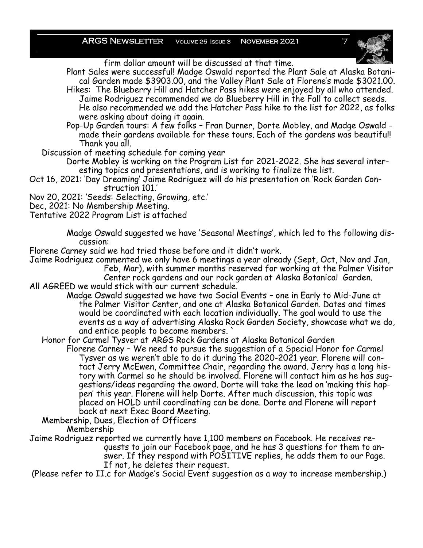ARGS NEWSLETTER VOLUME 25 ISSUE 3 NOVEMBER 2021



firm dollar amount will be discussed at that time.

Plant Sales were successful! Madge Oswald reported the Plant Sale at Alaska Botanical Garden made \$3903.00, and the Valley Plant Sale at Florene's made \$3021.00. Hikes: The Blueberry Hill and Hatcher Pass hikes were enjoyed by all who attended. Jaime Rodriguez recommended we do Blueberry Hill in the Fall to collect seeds.

He also recommended we add the Hatcher Pass hike to the list for 2022, as folks were asking about doing it again.

Pop-Up Garden tours: A few folks – Fran Durner, Dorte Mobley, and Madge Oswald made their gardens available for these tours. Each of the gardens was beautiful! Thank you all.

Discussion of meeting schedule for coming year

Dorte Mobley is working on the Program List for 2021-2022. She has several interesting topics and presentations, and is working to finalize the list.

Oct 16, 2021: 'Day Dreaming' Jaime Rodriguez will do his presentation on 'Rock Garden Construction 101.'

Nov 20, 2021: 'Seeds: Selecting, Growing, etc.'

Dec, 2021: No Membership Meeting.

Tentative 2022 Program List is attached

Madge Oswald suggested we have 'Seasonal Meetings', which led to the following discussion:

Florene Carney said we had tried those before and it didn't work.

Jaime Rodriguez commented we only have 6 meetings a year already (Sept, Oct, Nov and Jan,

Feb, Mar), with summer months reserved for working at the Palmer Visitor Center rock gardens and our rock garden at Alaska Botanical Garden.

All AGREED we would stick with our current schedule.

Madge Oswald suggested we have two Social Events – one in Early to Mid-June at the Palmer Visitor Center, and one at Alaska Botanical Garden. Dates and times would be coordinated with each location individually. The goal would to use the events as a way of advertising Alaska Rock Garden Society, showcase what we do, and entice people to become members. `

Honor for Carmel Tysver at ARGS Rock Gardens at Alaska Botanical Garden

Florene Carney – We need to pursue the suggestion of a Special Honor for Carmel Tysver as we weren't able to do it during the 2020-2021 year. Florene will contact Jerry McEwen, Committee Chair, regarding the award. Jerry has a long history with Carmel so he should be involved. Florene will contact him as he has suggestions/ideas regarding the award. Dorte will take the lead on 'making this happen' this year. Florene will help Dorte. After much discussion, this topic was placed on HOLD until coordinating can be done. Dorte and Florene will report back at next Exec Board Meeting.

Membership, Dues, Election of Officers

Membership

Jaime Rodriguez reported we currently have 1,100 members on Facebook. He receives requests to join our Facebook page, and he has 3 questions for them to answer. If they respond with POSITIVE replies, he adds them to our Page. If not, he deletes their request.

(Please refer to II.c for Madge's Social Event suggestion as a way to increase membership.)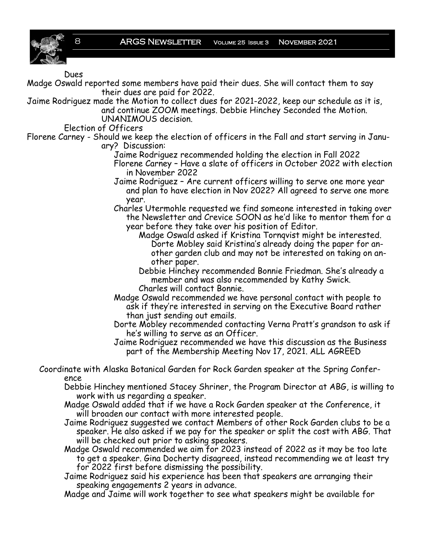

#### Dues

Madge Oswald reported some members have paid their dues. She will contact them to say their dues are paid for 2022.

Jaime Rodriguez made the Motion to collect dues for 2021-2022, keep our schedule as it is, and continue ZOOM meetings. Debbie Hinchey Seconded the Motion. UNANIMOUS decision.

Election of Officers

Florene Carney - Should we keep the election of officers in the Fall and start serving in January? Discussion:

- Jaime Rodriguez recommended holding the election in Fall 2022 Florene Carney – Have a slate of officers in October 2022 with election in November 2022
- Jaime Rodriguez Are current officers willing to serve one more year and plan to have election in Nov 2022? All agreed to serve one more year.

Charles Utermohle requested we find someone interested in taking over the Newsletter and Crevice SOON as he'd like to mentor them for a year before they take over his position of Editor.

Madge Oswald asked if Kristina Tornqvist might be interested. Dorte Mobley said Kristina's already doing the paper for another garden club and may not be interested on taking on another paper.

Debbie Hinchey recommended Bonnie Friedman. She's already a member and was also recommended by Kathy Swick. Charles will contact Bonnie.

Madge Oswald recommended we have personal contact with people to ask if they're interested in serving on the Executive Board rather than just sending out emails.

Dorte Mobley recommended contacting Verna Pratt's grandson to ask if he's willing to serve as an Officer.

Jaime Rodriguez recommended we have this discussion as the Business part of the Membership Meeting Nov 17, 2021. ALL AGREED

Coordinate with Alaska Botanical Garden for Rock Garden speaker at the Spring Conference

Debbie Hinchey mentioned Stacey Shriner, the Program Director at ABG, is willing to work with us regarding a speaker.

Madge Oswald added that if we have a Rock Garden speaker at the Conference, it will broaden our contact with more interested people.

Jaime Rodriguez suggested we contact Members of other Rock Garden clubs to be a speaker. He also asked if we pay for the speaker or split the cost with ABG. That will be checked out prior to asking speakers.

Madge Oswald recommended we aim for 2023 instead of 2022 as it may be too late to get a speaker. Gina Docherty disagreed, instead recommending we at least try for 2022 first before dismissing the possibility.

Jaime Rodriguez said his experience has been that speakers are arranging their speaking engagements 2 years in advance.

Madge and Jaime will work together to see what speakers might be available for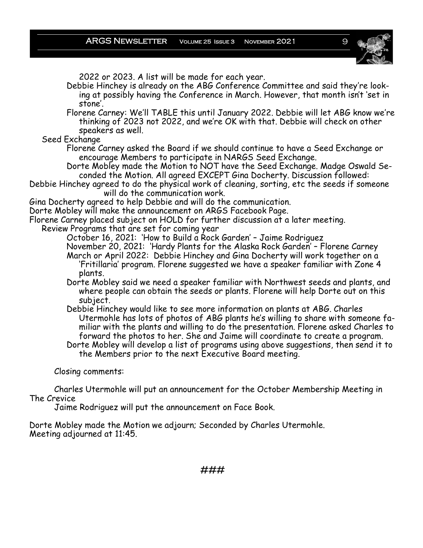ARGS NEWSLETTER VOLUME 25 ISSUE 3 NOVEMBER 2021 9



2022 or 2023. A list will be made for each year.

Debbie Hinchey is already on the ABG Conference Committee and said they're looking at possibly having the Conference in March. However, that month isn't 'set in stone'.

Florene Carney: We'll TABLE this until January 2022. Debbie will let ABG know we're thinking of 2023 not 2022, and we're OK with that. Debbie will check on other speakers as well.

Seed Exchange

Florene Carney asked the Board if we should continue to have a Seed Exchange or encourage Members to participate in NARGS Seed Exchange.

Dorte Mobley made the Motion to NOT have the Seed Exchange. Madge Oswald Seconded the Motion. All agreed EXCEPT Gina Docherty. Discussion followed:

Debbie Hinchey agreed to do the physical work of cleaning, sorting, etc the seeds if someone will do the communication work.

Gina Docherty agreed to help Debbie and will do the communication.

Dorte Mobley will make the announcement on ARGS Facebook Page.

Florene Carney placed subject on HOLD for further discussion at a later meeting.

Review Programs that are set for coming year

October 16, 2021: 'How to Build a Rock Garden' – Jaime Rodriguez

November 20, 2021: 'Hardy Plants for the Alaska Rock Garden' – Florene Carney March or April 2022: Debbie Hinchey and Gina Docherty will work together on a 'Fritillaria' program. Florene suggested we have a speaker familiar with Zone 4 plants.

- Dorte Mobley said we need a speaker familiar with Northwest seeds and plants, and where people can obtain the seeds or plants. Florene will help Dorte out on this subject.
- Debbie Hinchey would like to see more information on plants at ABG. Charles Utermohle has lots of photos of ABG plants he's willing to share with someone familiar with the plants and willing to do the presentation. Florene asked Charles to forward the photos to her. She and Jaime will coordinate to create a program. Dorte Mobley will develop a list of programs using above suggestions, then send it to

the Members prior to the next Executive Board meeting.

Closing comments:

Charles Utermohle will put an announcement for the October Membership Meeting in The Crevice

Jaime Rodriguez will put the announcement on Face Book.

Dorte Mobley made the Motion we adjourn; Seconded by Charles Utermohle. Meeting adjourned at 11:45.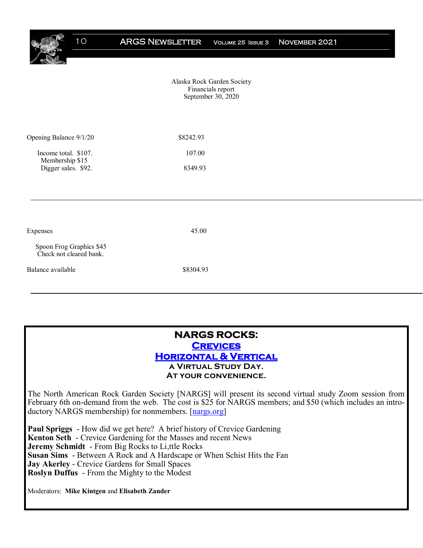Alaska Rock Garden Society Financials report September 30, 2020

| Opening Balance 9/1/20                  | \$8242.93 |
|-----------------------------------------|-----------|
| Income total. \$107.<br>Membership \$15 | 107.00    |
| Digger sales. \$92.                     | 8349.93   |

#### **NARGS ROCKS: [Crevices](https://www.nargs.org/nargs-rocks-crevices-gardening-vertically-and-horizontally-virtual-study-day)  [Horizontal & Vertical](https://www.nargs.org/nargs-rocks-crevices-gardening-vertically-and-horizontally-virtual-study-day)  a Virtual Study Day. At your convenience.**

The North American Rock Garden Society [NARGS] will present its second virtual study Zoom session from February 6th on-demand from the web. The cost is \$25 for NARGS members; and \$50 (which includes an introductory NARGS membership) for nonmembers. [[nargs.org\]](https://www.nargs.org/nargs-rocks-troughs-coast-coast-virtual-study-day) 

**Paul Spriggs** - How did we get here? A brief history of Crevice Gardening **Kenton Seth** - Crevice Gardening for the Masses and recent News **Jeremy Schmidt** - From Big Rocks to Li,ttle Rocks **Susan Sims** - Between A Rock and A Hardscape or When Schist Hits the Fan **Jay Akerley** - Crevice Gardens for Small Spaces **Roslyn Duffus** - From the Mighty to the Modest

Moderators: **Mike Kintgen** and **Elisabeth Zander**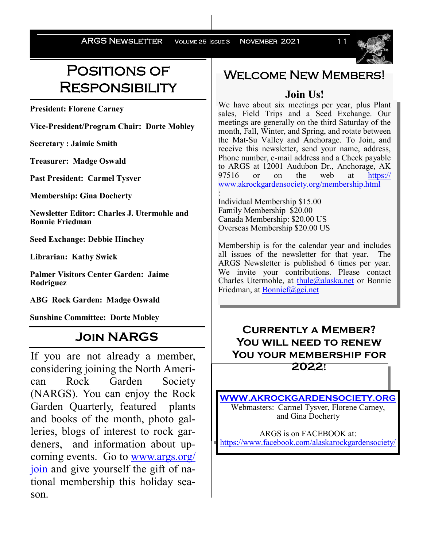ARGS NEWSLETTER VOLUME 25 ISSUE 3 NOVEMBER 2021 11



# Positions of **RESPONSIBILITY**

**President: Florene Carney**

**Vice-President/Program Chair: Dorte Mobley**

**Secretary : Jaimie Smith**

**Treasurer: Madge Oswald**

**Past President: Carmel Tysver**

**Membership: Gina Docherty**

**Newsletter Editor: Charles J. Utermohle and Bonnie Friedman**

**Seed Exchange: Debbie Hinchey**

**Librarian: Kathy Swick**

**Palmer Visitors Center Garden: Jaime Rodriguez**

**ABG Rock Garden: Madge Oswald**

**Sunshine Committee: Dorte Mobley**

# **Join NARGS**

If you are not already a member, considering joining the North American Rock Garden Society (NARGS). You can enjoy the Rock Garden Quarterly, featured plants and books of the month, photo galleries, blogs of interest to rock gardeners, and information about upcoming events. Go to [www.args.org/](http://www.args.org/join) [join](http://www.args.org/join) and give yourself the gift of national membership this holiday season.

# **WELCOME NEW MEMBERS!**

# **Join Us!**

We have about six meetings per year, plus Plant sales, Field Trips and a Seed Exchange. Our meetings are generally on the third Saturday of the month, Fall, Winter, and Spring, and rotate between the Mat-Su Valley and Anchorage. To Join, and receive this newsletter, send your name, address, Phone number, e-mail address and a Check payable to ARGS at 12001 Audubon Dr., Anchorage, AK 97516 or on the web at [https://](https://www.akrockgardensociety.org/membership.html) [www.akrockgardensociety.org/membership.html](https://www.akrockgardensociety.org/membership.html)

: Individual Membership \$15.00 Family Membership \$20.00 Canada Membership: \$20.00 US Overseas Membership \$20.00 US

Membership is for the calendar year and includes all issues of the newsletter for that year. The ARGS Newsletter is published 6 times per year. We invite your contributions. Please contact Charles Utermohle, at [thule@alaska.net](mailto:thule@alaska.net?subject=ARGS%20Newsletter) or Bonnie Friedman, at [Bonnief@gci.net](mailto:Bonnief@gci.net)

# **Currently a Member? You will need to renew You your membership for**

**2022!**

**[WWW.AKROCKGARDENSOCIETY.ORG](http://WWW.AKROCKGARDENSOCIETY.ORG)** Webmasters: Carmel Tysver, Florene Carney, and Gina Docherty

ARGS is on FACEBOOK at: <https://www.facebook.com/alaskarockgardensociety/>